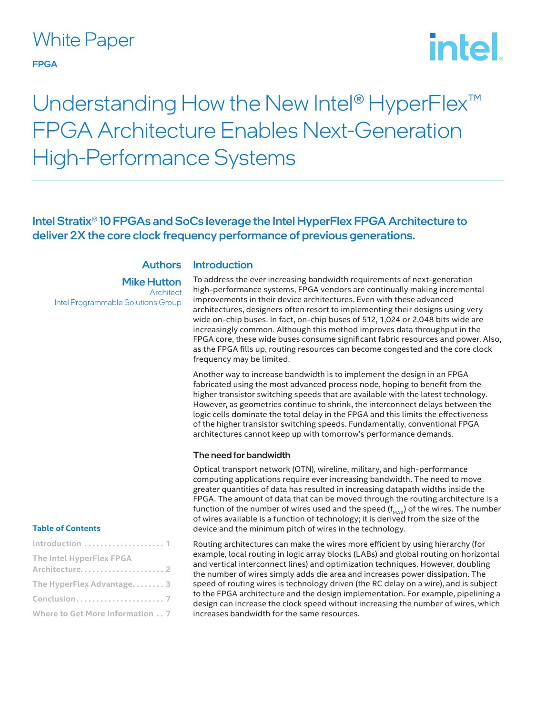# White Paper

#### FPGA

# intel

# Understanding How the New Intel® HyperFlex<sup>™</sup> FPGA Architecture Enables Next-Generation High-Performance Systems

# Intel Stratix® 10 FPGAs and SoCs leverage the Intel HyperFlex FPGA Architecture to deliver 2X the core clock frequency performance of previous generations.

**Introduction** 

# **Authors**

Mike Hutton **Architect** Intel Programmable Solutions Group

#### To address the ever increasing bandwidth requirements of next-generation high-performance systems, FPGA vendors are continually making incremental improvements in their device architectures. Even with these advanced architectures, designers often resort to implementing their designs using very wide on-chip buses. In fact, on-chip buses of 512, 1,024 or 2,048 bits wide are increasingly common. Although this method improves data throughput in the FPGA core, these wide buses consume significant fabric resources and power. Also, as the FPGA fills up, routing resources can become congested and the core clock frequency may be limited.

Another way to increase bandwidth is to implement the design in an FPGA fabricated using the most advanced process node, hoping to benefit from the higher transistor switching speeds that are available with the latest technology. However, as geometries continue to shrink, the interconnect delays between the logic cells dominate the total delay in the FPGA and this limits the effectiveness of the higher transistor switching speeds. Fundamentally, conventional FPGA architectures cannot keep up with tomorrow's performance demands.

#### The need for bandwidth

Optical transport network (OTN), wireline, military, and high-performance computing applications require ever increasing bandwidth. The need to move greater quantities of data has resulted in increasing datapath widths inside the FPGA. The amount of data that can be moved through the routing architecture is a function of the number of wires used and the speed ( $f_{MAX}$ ) of the wires. The number of wires available is a function of technology; it is derived from the size of the device and the minimum pitch of wires in the technology.

Routing architectures can make the wires more efficient by using hierarchy (for example, local routing in logic array blocks (LABs) and global routing on horizontal and vertical interconnect lines) and optimization techniques. However, doubling the number of wires simply adds die area and increases power dissipation. The speed of routing wires is technology driven (the RC delay on a wire), and is subject to the FPGA architecture and the design implementation. For example, pipelining a design can increase the clock speed without increasing the number of wires, which increases bandwidth for the same resources.

#### **Table of Contents**

| Introduction  1                 |
|---------------------------------|
| <b>The Intel HyperFlex FPGA</b> |
| The HyperFlex Advantage 3       |
|                                 |
| Where to Get More Information 7 |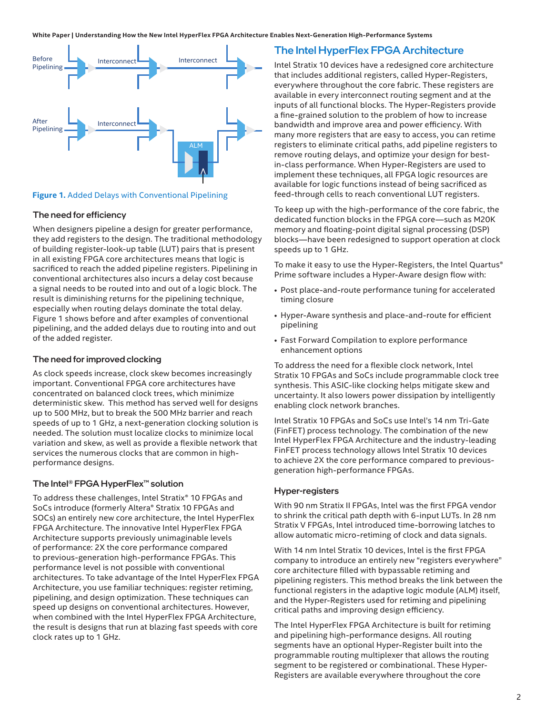<span id="page-1-0"></span>

#### **Figure 1.** Added Delays with Conventional Pipelining

#### The need for efficiency

When designers pipeline a design for greater performance, they add registers to the design. The traditional methodology of building register-look-up table (LUT) pairs that is present in all existing FPGA core architectures means that logic is sacrificed to reach the added pipeline registers. Pipelining in conventional architectures also incurs a delay cost because a signal needs to be routed into and out of a logic block. The result is diminishing returns for the pipelining technique, especially when routing delays dominate the total delay. Figure 1 shows before and after examples of conventional pipelining, and the added delays due to routing into and out of the added register.

#### The need for improved clocking

As clock speeds increase, clock skew becomes increasingly important. Conventional FPGA core architectures have concentrated on balanced clock trees, which minimize deterministic skew. This method has served well for designs up to 500 MHz, but to break the 500 MHz barrier and reach speeds of up to 1 GHz, a next-generation clocking solution is needed. The solution must localize clocks to minimize local variation and skew, as well as provide a flexible network that services the numerous clocks that are common in highperformance designs.

#### The Intel® FPGA HyperFlex™ solution

To address these challenges, Intel Stratix® 10 FPGAs and SoCs introduce (formerly Altera® Stratix 10 FPGAs and SOCs) an entirely new core architecture, the Intel HyperFlex FPGA Architecture. The innovative Intel HyperFlex FPGA Architecture supports previously unimaginable levels of performance: 2X the core performance compared to previous-generation high-performance FPGAs. This performance level is not possible with conventional architectures. To take advantage of the Intel HyperFlex FPGA Architecture, you use familiar techniques: register retiming, pipelining, and design optimization. These techniques can speed up designs on conventional architectures. However, when combined with the Intel HyperFlex FPGA Architecture, the result is designs that run at blazing fast speeds with core clock rates up to 1 GHz.

### The Intel HyperFlex FPGA Architecture

Intel Stratix 10 devices have a redesigned core architecture that includes additional registers, called Hyper-Registers, everywhere throughout the core fabric. These registers are available in every interconnect routing segment and at the inputs of all functional blocks. The Hyper-Registers provide a fine-grained solution to the problem of how to increase bandwidth and improve area and power efficiency. With many more registers that are easy to access, you can retime registers to eliminate critical paths, add pipeline registers to remove routing delays, and optimize your design for bestin-class performance. When Hyper-Registers are used to implement these techniques, all FPGA logic resources are available for logic functions instead of being sacrificed as feed-through cells to reach conventional LUT registers.

To keep up with the high-performance of the core fabric, the dedicated function blocks in the FPGA core—such as M20K memory and floating-point digital signal processing (DSP) blocks—have been redesigned to support operation at clock speeds up to 1 GHz.

To make it easy to use the Hyper-Registers, the Intel Quartus® Prime software includes a Hyper-Aware design flow with:

- Post place-and-route performance tuning for accelerated timing closure
- Hyper-Aware synthesis and place-and-route for efficient pipelining
- Fast Forward Compilation to explore performance enhancement options

To address the need for a flexible clock network, Intel Stratix 10 FPGAs and SoCs include programmable clock tree synthesis. This ASIC-like clocking helps mitigate skew and uncertainty. It also lowers power dissipation by intelligently enabling clock network branches.

Intel Stratix 10 FPGAs and SoCs use Intel's 14 nm Tri-Gate (FinFET) process technology. The combination of the new Intel HyperFlex FPGA Architecture and the industry-leading FinFET process technology allows Intel Stratix 10 devices to achieve 2X the core performance compared to previousgeneration high-performance FPGAs.

#### Hyper-registers

With 90 nm Stratix II FPGAs, Intel was the first FPGA vendor to shrink the critical path depth with 6-input LUTs. In 28 nm Stratix V FPGAs, Intel introduced time-borrowing latches to allow automatic micro-retiming of clock and data signals.

With 14 nm Intel Stratix 10 devices, Intel is the first FPGA company to introduce an entirely new "registers everywhere" core architecture filled with bypassable retiming and pipelining registers. This method breaks the link between the functional registers in the adaptive logic module (ALM) itself, and the Hyper-Registers used for retiming and pipelining critical paths and improving design efficiency.

The Intel HyperFlex FPGA Architecture is built for retiming and pipelining high-performance designs. All routing segments have an optional Hyper-Register built into the programmable routing multiplexer that allows the routing segment to be registered or combinational. These Hyper-Registers are available everywhere throughout the core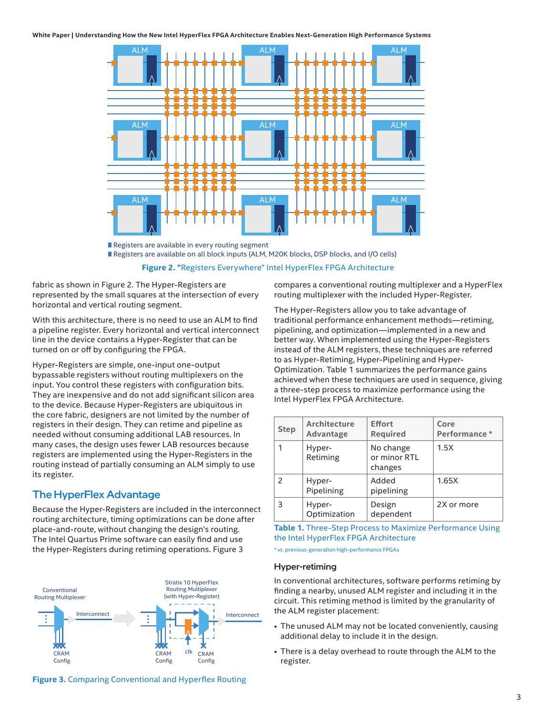<span id="page-2-0"></span>

Registers are available in every routing segment Registers are available on all block inputs (ALM, M20K blocks, DSP blocks, and I/O cells)

**Figure 2. "**Registers Everywhere" Intel HyperFlex FPGA Architecture

fabric as shown in Figure 2. The Hyper-Registers are represented by the small squares at the intersection of every horizontal and vertical routing segment.

With this architecture, there is no need to use an ALM to find a pipeline register. Every horizontal and vertical interconnect line in the device contains a Hyper-Register that can be turned on or off by configuring the FPGA.

Hyper-Registers are simple, one-input one-output bypassable registers without routing multiplexers on the input. You control these registers with configuration bits. They are inexpensive and do not add significant silicon area to the device. Because Hyper-Registers are ubiquitous in the core fabric, designers are not limited by the number of registers in their design. They can retime and pipeline as needed without consuming additional LAB resources. In many cases, the design uses fewer LAB resources because registers are implemented using the Hyper-Registers in the routing instead of partially consuming an ALM simply to use its register.

# The HyperFlex Advantage

Because the Hyper-Registers are included in the interconnect routing architecture, timing optimizations can be done after place-and-route, without changing the design's routing. The Intel Quartus Prime software can easily find and use the Hyper-Registers during retiming operations. Figure 3





compares a conventional routing multiplexer and a HyperFlex routing multiplexer with the included Hyper-Register.

The Hyper-Registers allow you to take advantage of traditional performance enhancement methods—retiming, pipelining, and optimization—implemented in a new and better way. When implemented using the Hyper-Registers instead of the ALM registers, these techniques are referred to as Hyper-Retiming, Hyper-Pipelining and Hyper-Optimization. Table 1 summarizes the performance gains achieved when these techniques are used in sequence, giving a three-step process to maximize performance using the Intel HyperFlex FPGA Architecture.

| <b>Step</b> | <b>Architecture</b><br>Advantage | <b>Effort</b><br><b>Required</b>     | Core<br>Performance * |
|-------------|----------------------------------|--------------------------------------|-----------------------|
|             | Hyper-<br>Retiming               | No change<br>or minor RTL<br>changes | 1.5X                  |
|             | Hyper-<br>Pipelining             | Added<br>pipelining                  | 1.65X                 |
| 3           | Hyper-<br>Optimization           | Design<br>dependent                  | 2X or more            |

**Table 1.** Three-Step Process to Maximize Performance Using the Intel HyperFlex FPGA Architecture

\* vs. previous-generation high-performance FPGAs

#### Hyper-retiming

In conventional architectures, software performs retiming by finding a nearby, unused ALM register and including it in the circuit. This retiming method is limited by the granularity of the ALM register placement:

- The unused ALM may not be located conveniently, causing additional delay to include it in the design.
- There is a delay overhead to route through the ALM to the register.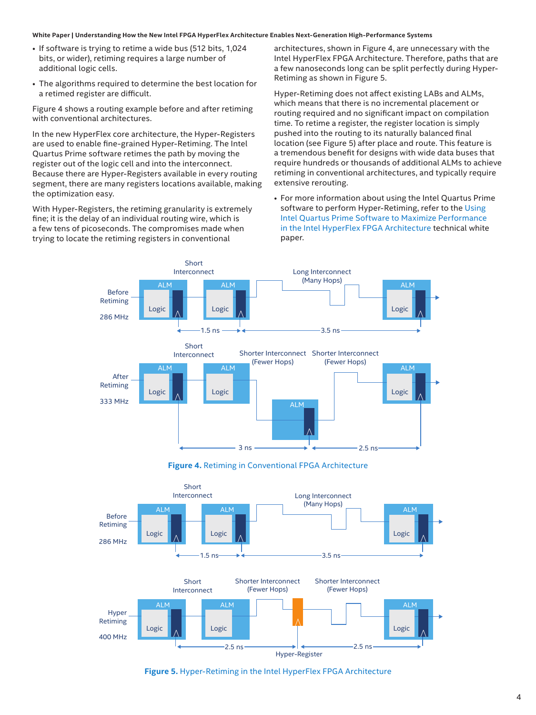- If software is trying to retime a wide bus (512 bits, 1,024 bits, or wider), retiming requires a large number of additional logic cells.
- The algorithms required to determine the best location for a retimed register are difficult.

Figure 4 shows a routing example before and after retiming with conventional architectures.

In the new HyperFlex core architecture, the Hyper-Registers are used to enable fine-grained Hyper-Retiming. The Intel Quartus Prime software retimes the path by moving the register out of the logic cell and into the interconnect. Because there are Hyper-Registers available in every routing segment, there are many registers locations available, making the optimization easy.

With Hyper-Registers, the retiming granularity is extremely fine; it is the delay of an individual routing wire, which is a few tens of picoseconds. The compromises made when trying to locate the retiming registers in conventional

architectures, shown in Figure 4, are unnecessary with the Intel HyperFlex FPGA Architecture. Therefore, paths that are a few nanoseconds long can be split perfectly during Hyper-Retiming as shown in Figure 5.

Hyper-Retiming does not affect existing LABs and ALMs, which means that there is no incremental placement or routing required and no significant impact on compilation time. To retime a register, the register location is simply pushed into the routing to its naturally balanced final location (see Figure 5) after place and route. This feature is a tremendous benefit for designs with wide data buses that require hundreds or thousands of additional ALMs to achieve retiming in conventional architectures, and typically require extensive rerouting.

• For more information about using the Intel Quartus Prime software to perform Hyper-Retiming, refer to the Using [Intel Quartus Prime Software to Maximize Performance](https://www.intel.com/content/dam/www/programmable/us/en/pdfs/literature/wp/wp-01218-quartus-ii-software-to-maximize-performance-in-hyperflex-architecture.pdf)  [in the Intel HyperFlex FPGA Architecture](https://www.intel.com/content/dam/www/programmable/us/en/pdfs/literature/wp/wp-01218-quartus-ii-software-to-maximize-performance-in-hyperflex-architecture.pdf) technical white paper.



**Figure 4.** Retiming in Conventional FPGA Architecture



**Figure 5.** Hyper-Retiming in the Intel HyperFlex FPGA Architecture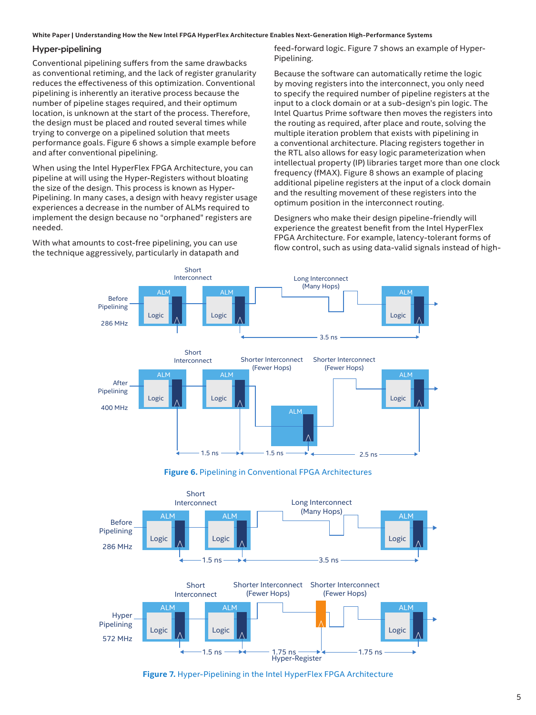#### Hyper-pipelining

Conventional pipelining suffers from the same drawbacks as conventional retiming, and the lack of register granularity reduces the effectiveness of this optimization. Conventional pipelining is inherently an iterative process because the number of pipeline stages required, and their optimum location, is unknown at the start of the process. Therefore, the design must be placed and routed several times while trying to converge on a pipelined solution that meets performance goals. Figure 6 shows a simple example before and after conventional pipelining.

When using the Intel HyperFlex FPGA Architecture, you can pipeline at will using the Hyper-Registers without bloating the size of the design. This process is known as Hyper-Pipelining. In many cases, a design with heavy register usage experiences a decrease in the number of ALMs required to implement the design because no "orphaned" registers are needed.

With what amounts to cost-free pipelining, you can use the technique aggressively, particularly in datapath and feed-forward logic. Figure 7 shows an example of Hyper-Pipelining.

Because the software can automatically retime the logic by moving registers into the interconnect, you only need to specify the required number of pipeline registers at the input to a clock domain or at a sub-design's pin logic. The Intel Quartus Prime software then moves the registers into the routing as required, after place and route, solving the multiple iteration problem that exists with pipelining in a conventional architecture. Placing registers together in the RTL also allows for easy logic parameterization when intellectual property (IP) libraries target more than one clock frequency (fMAX). Figure 8 shows an example of placing additional pipeline registers at the input of a clock domain and the resulting movement of these registers into the optimum position in the interconnect routing.

Designers who make their design pipeline-friendly will experience the greatest benefit from the Intel HyperFlex FPGA Architecture. For example, latency-tolerant forms of flow control, such as using data-valid signals instead of high-



**Figure 6.** Pipelining in Conventional FPGA Architectures



**Figure 7.** Hyper-Pipelining in the Intel HyperFlex FPGA Architecture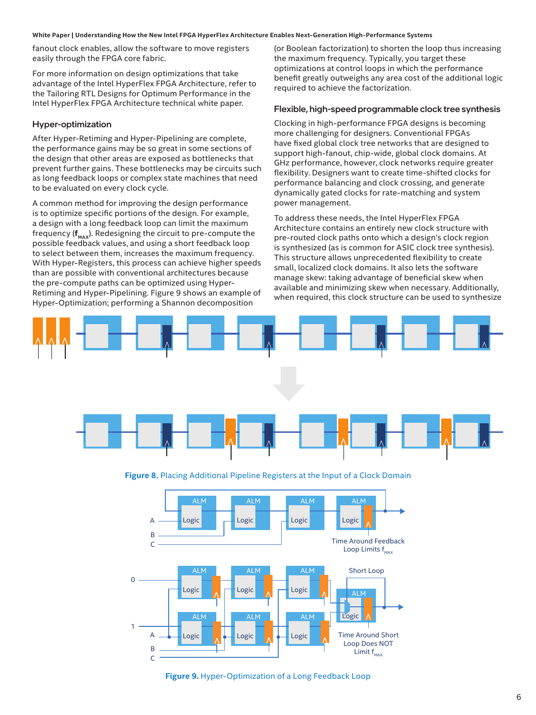fanout clock enables, allow the software to move registers easily through the FPGA core fabric.

For more information on design optimizations that take advantage of the Intel HyperFlex FPGA Architecture, refer to the Tailoring RTL Designs for Optimum Performance in the Intel HyperFlex FPGA Architecture technical white paper.

#### Hyper-optimization

After Hyper-Retiming and Hyper-Pipelining are complete, the performance gains may be so great in some sections of the design that other areas are exposed as bottlenecks that prevent further gains. These bottlenecks may be circuits such as long feedback loops or complex state machines that need to be evaluated on every clock cycle.

A common method for improving the design performance is to optimize specific portions of the design. For example, a design with a long feedback loop can limit the maximum frequency ( $f_{\text{max}}$ ). Redesigning the circuit to pre-compute the possible feedback values, and using a short feedback loop to select between them, increases the maximum frequency. With Hyper-Registers, this process can achieve higher speeds than are possible with conventional architectures because the pre-compute paths can be optimized using Hyper-Retiming and Hyper-Pipelining. Figure 9 shows an example of Hyper-Optimization; performing a Shannon decomposition

(or Boolean factorization) to shorten the loop thus increasing the maximum frequency. Typically, you target these optimizations at control loops in which the performance benefit greatly outweighs any area cost of the additional logic required to achieve the factorization.

#### Flexible, high-speed programmable clock tree synthesis

Clocking in high-performance FPGA designs is becoming more challenging for designers. Conventional FPGAs have fixed global clock tree networks that are designed to support high-fanout, chip-wide, global clock domains. At GHz performance, however, clock networks require greater flexibility. Designers want to create time-shifted clocks for performance balancing and clock crossing, and generate dynamically gated clocks for rate-matching and system power management.

To address these needs, the Intel HyperFlex FPGA Architecture contains an entirely new clock structure with pre-routed clock paths onto which a design's clock region is synthesized (as is common for ASIC clock tree synthesis). This structure allows unprecedented flexibility to create small, localized clock domains. It also lets the software manage skew: taking advantage of beneficial skew when available and minimizing skew when necessary. Additionally, when required, this clock structure can be used to synthesize



**Figure 8.** Placing Additional Pipeline Registers at the Input of a Clock Domain



**Figure 9.** Hyper-Optimization of a Long Feedback Loop